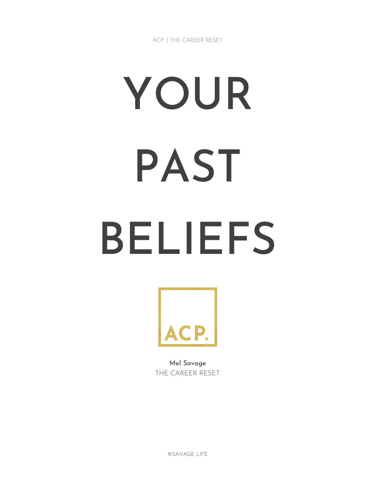ACP | THE CAREER RESET

# YOUR PAST BELIEFS



Mel Savage THE CAREER RESET

©SAVAGE LIFE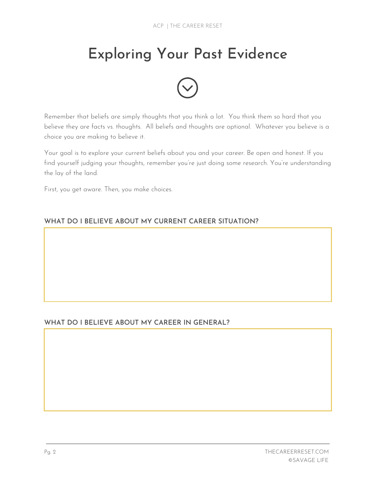## Exploring Your Past Evidence



Remember that beliefs are simply thoughts that you think a lot. You think them so hard that you believe they are facts vs. thoughts. All beliefs and thoughts are optional. Whatever you believe is a choice you are making to believe it.

Your goal is to explore your current beliefs about you and your career. Be open and honest. If you find yourself judging your thoughts, remember you're just doing some research. You're understanding the lay of the land.

First, you get aware. Then, you make choices.

#### WHAT DO I BELIEVE ABOUT MY CURRENT CAREER SITUATION?

#### WHAT DO I BELIEVE ABOUT MY CAREER IN GENERAL?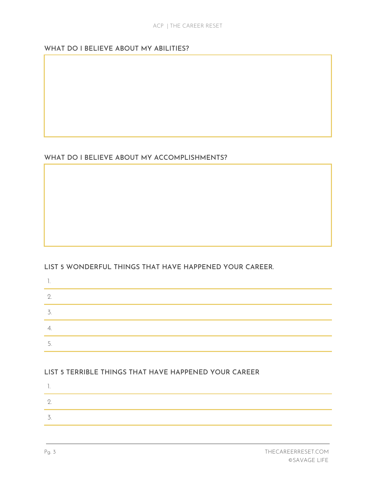#### WHAT DO I BELIEVE ABOUT MY ABILITIES?

#### WHAT DO I BELIEVE ABOUT MY ACCOMPLISHMENTS?

LIST 5 WONDERFUL THINGS THAT HAVE HAPPENED YOUR CAREER.

| Π.   |  |
|------|--|
| - 2. |  |
| 3.   |  |
| 4.   |  |
| 5.   |  |

#### LIST 5 TERRIBLE THINGS THAT HAVE HAPPENED YOUR CAREER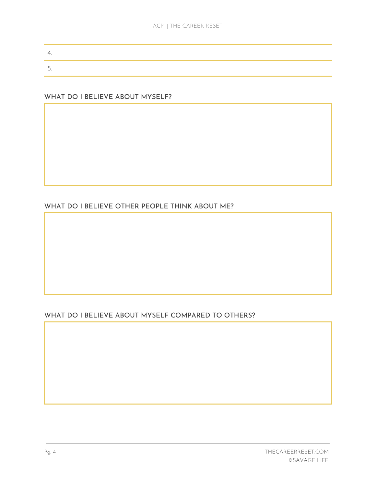#### WHAT DO I BELIEVE ABOUT MYSELF?

### WHAT DO I BELIEVE OTHER PEOPLE THINK ABOUT ME?

#### WHAT DO I BELIEVE ABOUT MYSELF COMPARED TO OTHERS?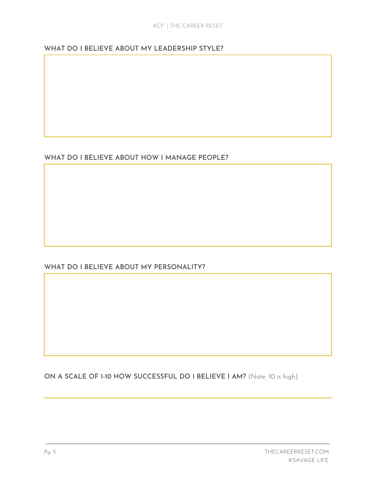ON A SCALE OF 1-10 HOW SUCCESSFUL DO I BELIEVE I AM? (Note: 10 is high)

WHAT DO I BELIEVE ABOUT MY PERSONALITY?

WHAT DO I BELIEVE ABOUT HOW I MANAGE PEOPLE?

WHAT DO I BELIEVE ABOUT MY LEADERSHIP STYLE?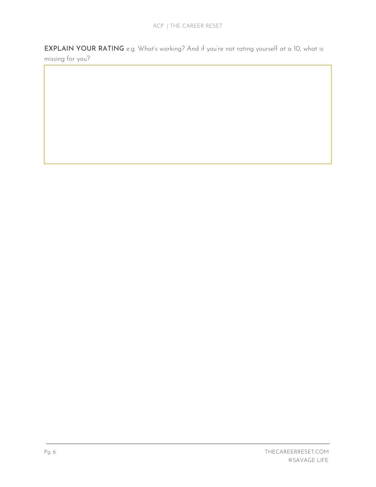EXPLAIN YOUR RATING e.g. What's working? And if you're not rating yourself at a 10, what is missing for you?